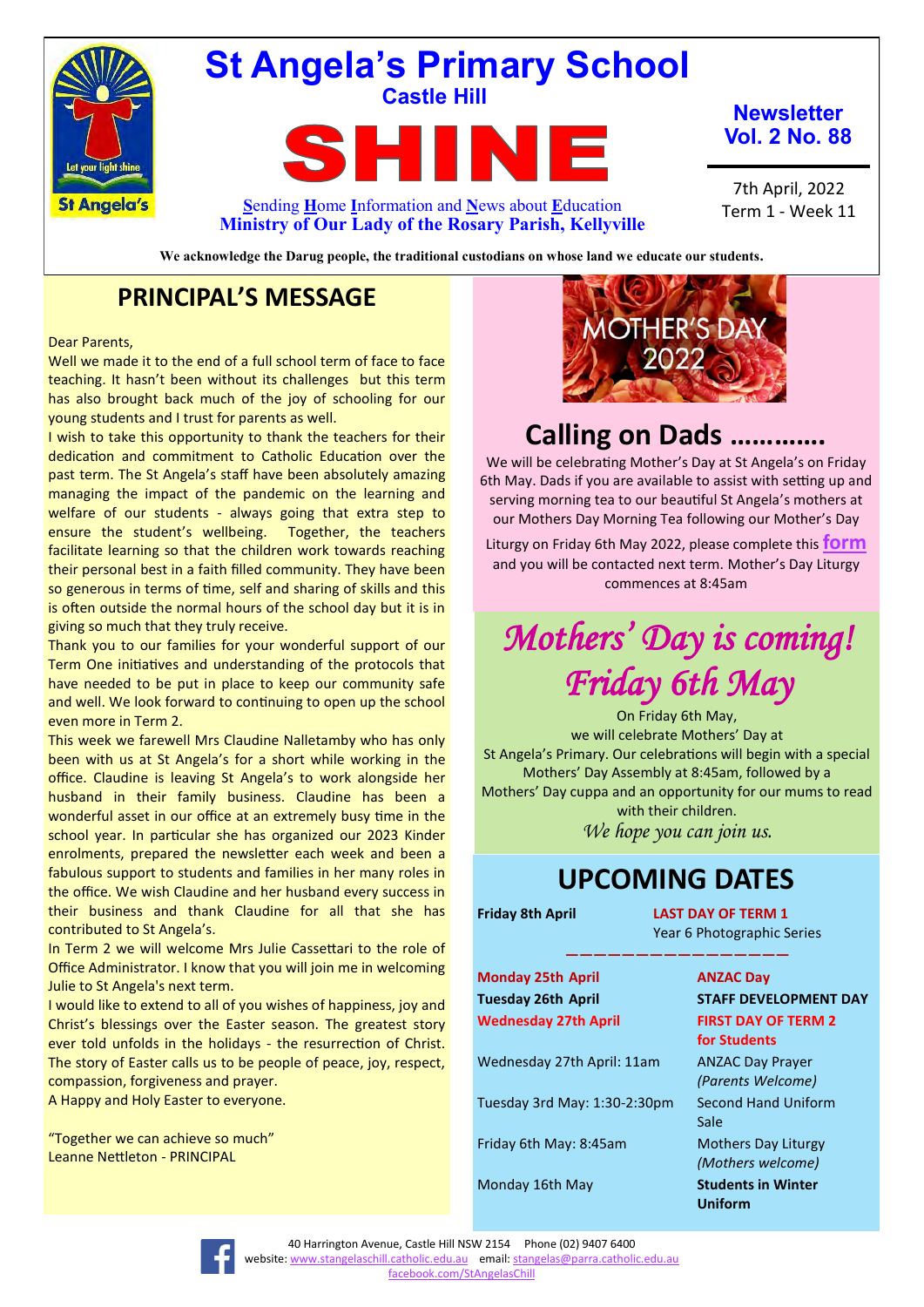

## **St Angela's Primary School Castle Hill**

**TA** S F II

**Newsletter Vol. 2 No. 88**

7th April, 2022 Term 1 - Week 11

**S**ending **H**ome **I**nformation and **N**ews about **E**ducation **Ministry of Our Lady of the Rosary Parish, Kellyville**

**We acknowledge the Darug people, the traditional custodians on whose land we educate our students.**

## **PRINCIPAL'S MESSAGE**

### Dear Parents,

Well we made it to the end of a full school term of face to face teaching. It hasn't been without its challenges but this term has also brought back much of the joy of schooling for our young students and I trust for parents as well.

I wish to take this opportunity to thank the teachers for their dedication and commitment to Catholic Education over the past term. The St Angela's staff have been absolutely amazing managing the impact of the pandemic on the learning and welfare of our students - always going that extra step to ensure the student's wellbeing. Together, the teachers facilitate learning so that the children work towards reaching their personal best in a faith filled community. They have been so generous in terms of time, self and sharing of skills and this is often outside the normal hours of the school day but it is in giving so much that they truly receive.

Thank you to our families for your wonderful support of our Term One initiatives and understanding of the protocols that have needed to be put in place to keep our community safe and well. We look forward to continuing to open up the school even more in Term 2.

This week we farewell Mrs Claudine Nalletamby who has only been with us at St Angela's for a short while working in the office. Claudine is leaving St Angela's to work alongside her husband in their family business. Claudine has been a wonderful asset in our office at an extremely busy time in the school year. In particular she has organized our 2023 Kinder enrolments, prepared the newsletter each week and been a fabulous support to students and families in her many roles in the office. We wish Claudine and her husband every success in their business and thank Claudine for all that she has contributed to St Angela's.

In Term 2 we will welcome Mrs Julie Cassettari to the role of Office Administrator. I know that you will join me in welcoming Julie to St Angela's next term.

I would like to extend to all of you wishes of happiness, joy and Christ's blessings over the Easter season. The greatest story ever told unfolds in the holidays - the resurrection of Christ. The story of Easter calls us to be people of peace, joy, respect, compassion, forgiveness and prayer.

A Happy and Holy Easter to everyone.

"Together we can achieve so much" Leanne Nettleton - PRINCIPAL



## **Calling on Dads ………….**

We will be celebrating Mother's Day at St Angela's on Friday 6th May. Dads if you are available to assist with setting up and serving morning tea to our beautiful St Angela's mothers at our Mothers Day Morning Tea following our Mother's Day

Liturgy on Friday 6th May 2022, please complete this **[form](https://docs.google.com/forms/d/e/1FAIpQLSccn7JoRbnSV4Wpo6PdpeB6_cGbmmY5x3kzkGH12BkBzUE4TA/viewform)** and you will be contacted next term. Mother's Day Liturgy commences at 8:45am

# *Mothers' Day is coming! Friday 6th May*

On Friday 6th May, we will celebrate Mothers' Day at St Angela's Primary. Our celebrations will begin with a special Mothers' Day Assembly at 8:45am, followed by a Mothers' Day cuppa and an opportunity for our mums to read with their children. *We hope you can join us.*

**————————————————**

## **UPCOMING DATES**

**Friday 8th April LAST DAY OF TERM 1** Year 6 Photographic Series

**Monday 25th April ANZAC Day Wednesday 27th April FIRST DAY OF TERM 2** 

Wednesday 27th April: 11am ANZAC Day Prayer

Tuesday 3rd May: 1:30-2:30pm Second Hand Uniform

**Tuesday 26th April STAFF DEVELOPMENT DAY for Students**  *(Parents Welcome)* Sale Friday 6th May: 8:45am Mothers Day Liturgy *(Mothers welcome)* Monday 16th May **Students in Winter Uniform**

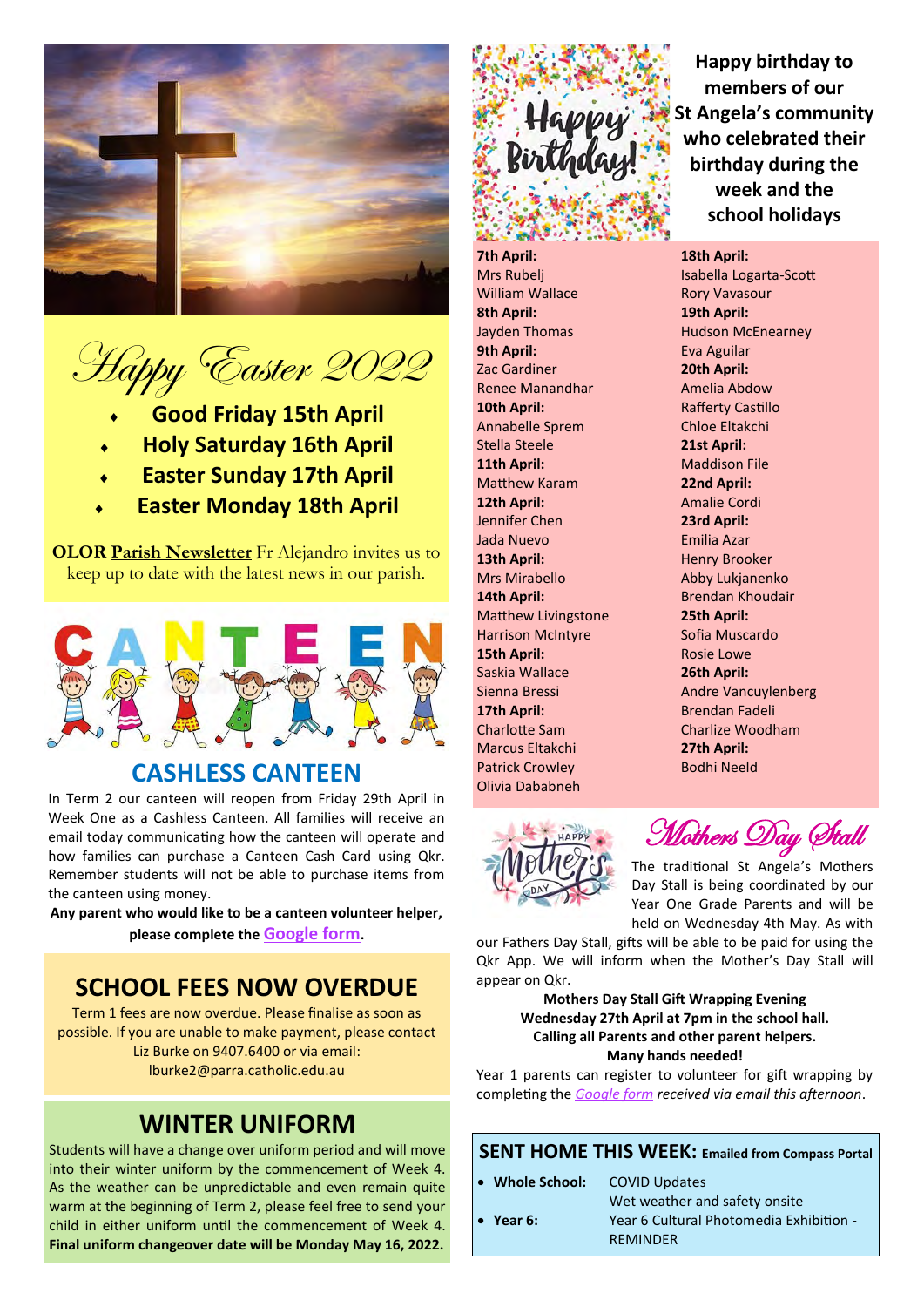

Happy Easter 2022

- **Good Friday 15th April**
- **Holy Saturday 16th April**
- **Easter Sunday 17th April**
- **Easter Monday 18th April**

**OLOR [Parish Newsletter](https://olorparishkellyville.org.au/wp-content/uploads/2022/02/20-February-2022-with-links.pdf)** Fr Alejandro invites us to keep up to date with the latest news in our parish.



## **CASHLESS CANTEEN**

In Term 2 our canteen will reopen from Friday 29th April in Week One as a Cashless Canteen. All families will receive an email today communicating how the canteen will operate and how families can purchase a Canteen Cash Card using Qkr. Remember students will not be able to purchase items from the canteen using money.

**Any parent who would like to be a canteen volunteer helper, please complete the [Google form](https://forms.gle/HDmY7HHqeHHpZ3i18).**

## **SCHOOL FEES NOW OVERDUE**

Term 1 fees are now overdue. Please finalise as soon as possible. If you are unable to make payment, please contact Liz Burke on 9407.6400 or via email: lburke2@parra.catholic.edu.au

## **WINTER UNIFORM**

Students will have a change over uniform period and will move into their winter uniform by the commencement of Week 4. As the weather can be unpredictable and even remain quite warm at the beginning of Term 2, please feel free to send your child in either uniform until the commencement of Week 4. **Final uniform changeover date will be Monday May 16, 2022.**

# Happy

**7th April:** Mrs Rubelj William Wallace **8th April:**  Jayden Thomas **9th April:** Zac Gardiner Renee Manandhar **10th April:** Annabelle Sprem Stella Steele **11th April:** Matthew Karam **12th April:** Jennifer Chen Jada Nuevo **13th April:**  Mrs Mirabello **14th April:** Matthew Livingstone Harrison McIntyre **15th April:**  Saskia Wallace Sienna Bressi **17th April:**  Charlotte Sam Marcus Eltakchi Patrick Crowley Olivia Dababneh

**Happy birthday to members of our St Angela's community who celebrated their birthday during the week and the school holidays**

**18th April:** Isabella Logarta-Scott Rory Vavasour **19th April:** Hudson McEnearney Eva Aguilar **20th April:**  Amelia Abdow Rafferty Castillo Chloe Eltakchi **21st April:** Maddison File **22nd April:** Amalie Cordi **23rd April:** Emilia Azar Henry Brooker Abby Lukjanenko Brendan Khoudair **25th April:**  Sofia Muscardo Rosie Lowe **26th April:**  Andre Vancuylenberg Brendan Fadeli Charlize Woodham **27th April:** Bodhi Neeld



Mothers Day Stall

The traditional St Angela's Mothers Day Stall is being coordinated by our Year One Grade Parents and will be held on Wednesday 4th May. As with

our Fathers Day Stall, gifts will be able to be paid for using the Qkr App. We will inform when the Mother's Day Stall will appear on Qkr.

## **Mothers Day Stall Gift Wrapping Evening Wednesday 27th April at 7pm in the school hall. Calling all Parents and other parent helpers. Many hands needed!**

Year 1 parents can register to volunteer for gift wrapping by completing the *[Google form](https://docs.google.com/forms/d/e/1FAIpQLSewMruzC1PJdCEBUAFx6YwLTrb8INbvO_UaJ4tijNLiRqDJow/viewform) received via email this afternoon*.

## **SENT HOME THIS WEEK: Emailed from Compass Portal**

• **Whole School:** COVID Updates

Wet weather and safety onsite • **Year 6:** Year 6 Cultural Photomedia Exhibition - REMINDER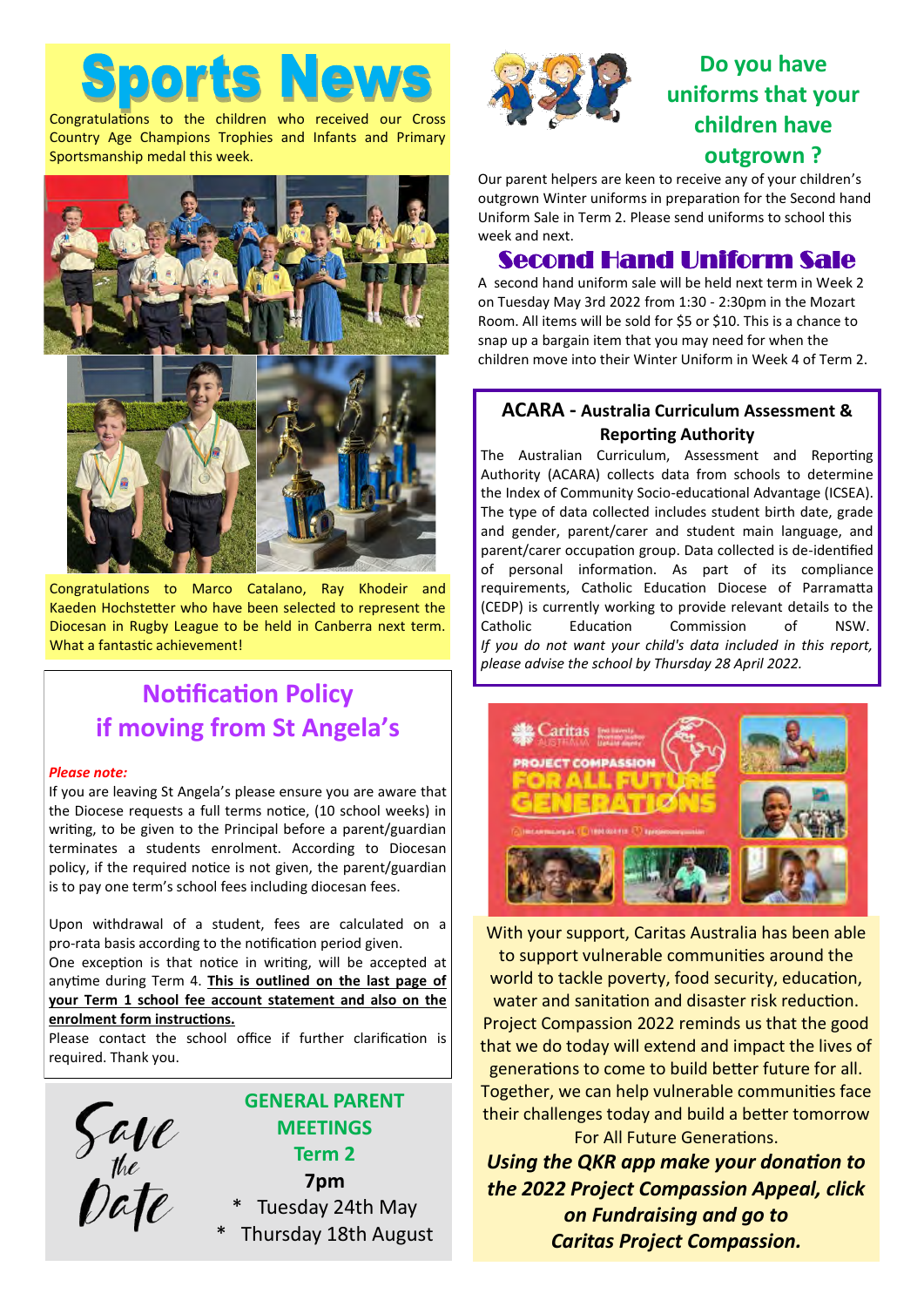Congratulations to the children who received our Cross Country Age Champions Trophies and Infants and Primary Sportsmanship medal this week.



Congratulations to Marco Catalano, Ray Khodeir and Kaeden Hochstetter who have been selected to represent the Diocesan in Rugby League to be held in Canberra next term. What a fantastic achievement!

## **Notification Policy if moving from St Angela's**

## *Please note:*

If you are leaving St Angela's please ensure you are aware that the Diocese requests a full terms notice, (10 school weeks) in writing, to be given to the Principal before a parent/guardian terminates a students enrolment. According to Diocesan policy, if the required notice is not given, the parent/guardian is to pay one term's school fees including diocesan fees.

Upon withdrawal of a student, fees are calculated on a pro-rata basis according to the notification period given.

One exception is that notice in writing, will be accepted at anytime during Term 4. **This is outlined on the last page of your Term 1 school fee account statement and also on the enrolment form instructions.**

Please contact the school office if further clarification is required. Thank you.



## **GENERAL PARENT MEETINGS Term 2 7pm**

- Tuesday 24th May
- Thursday 18th August



## **Do you have uniforms that your children have outgrown ?**

Our parent helpers are keen to receive any of your children's outgrown Winter uniforms in preparation for the Second hand Uniform Sale in Term 2. Please send uniforms to school this week and next.

## Second Hand Uniform Sale

A second hand uniform sale will be held next term in Week 2 on Tuesday May 3rd 2022 from 1:30 - 2:30pm in the Mozart Room. All items will be sold for \$5 or \$10. This is a chance to snap up a bargain item that you may need for when the children move into their Winter Uniform in Week 4 of Term 2.

## **ACARA - Australia Curriculum Assessment & Reporting Authority**

The Australian Curriculum, Assessment and Reporting Authority (ACARA) collects data from schools to determine the Index of Community Socio-educational Advantage (ICSEA). The type of data collected includes student birth date, grade and gender, parent/carer and student main language, and parent/carer occupation group. Data collected is de-identified of personal information. As part of its compliance requirements, Catholic Education Diocese of Parramatta (CEDP) is currently working to provide relevant details to the Catholic Education Commission of NSW. *If you do not want your child's data included in this report, please advise the school by Thursday 28 April 2022.*



With your support, Caritas Australia has been able to support vulnerable communities around the world to tackle poverty, food security, education, water and sanitation and disaster risk reduction. Project Compassion 2022 reminds us that the good that we do today will extend and impact the lives of generations to come to build better future for all. Together, we can help vulnerable communities face their challenges today and build a better tomorrow For All Future Generations.

*Using the QKR app make your donation to the 2022 Project Compassion Appeal, click on Fundraising and go to Caritas Project Compassion.*